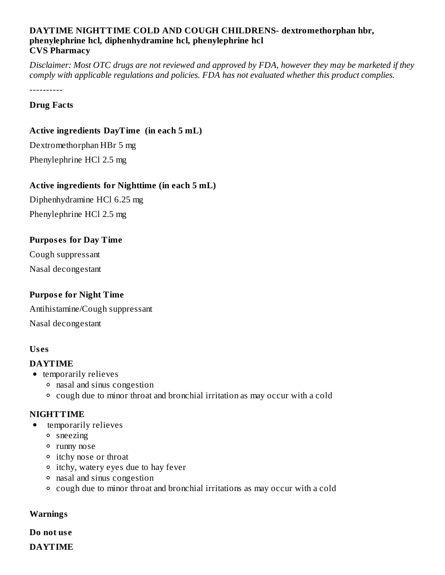#### **DAYTIME NIGHTTIME COLD AND COUGH CHILDRENS- dextromethorphan hbr, phenylephrine hcl, diphenhydramine hcl, phenylephrine hcl CVS Pharmacy**

Disclaimer: Most OTC drugs are not reviewed and approved by FDA, however they may be marketed if they *comply with applicable regulations and policies. FDA has not evaluated whether this product complies.*

----------

#### **Drug Facts**

#### **Active ingredients DayTime (in each 5 mL)**

Dextromethorphan HBr 5 mg Phenylephrine HCl 2.5 mg

#### **Active ingredients for Nighttime (in each 5 mL)**

Diphenhydramine HCl 6.25 mg Phenylephrine HCl 2.5 mg

#### **Purpos es for Day Time**

Cough suppressant Nasal decongestant

### **Purpos e for Night Time**

Antihistamine/Cough suppressant Nasal decongestant

#### **Us es**

#### **DAYTIME**

- temporarily relieves
	- nasal and sinus congestion
	- cough due to minor throat and bronchial irritation as may occur with a cold

#### **NIGHTTIME**

- temporarily relieves  $\bullet$ 
	- sneezing
	- runny nose
	- itchy nose or throat
	- itchy, watery eyes due to hay fever
	- nasal and sinus congestion
	- cough due to minor throat and bronchial irritations as may occur with a cold

#### **Warnings**

**Do not us e**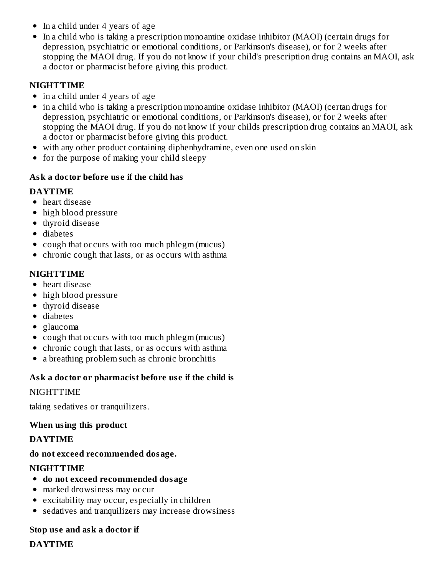- In a child under 4 years of age
- In a child who is taking a prescription monoamine oxidase inhibitor (MAOI) (certain drugs for depression, psychiatric or emotional conditions, or Parkinson's disease), or for 2 weeks after stopping the MAOI drug. If you do not know if your child's prescription drug contains an MAOI, ask a doctor or pharmacist before giving this product.

### **NIGHTTIME**

- in a child under 4 years of age
- in a child who is taking a prescription monoamine oxidase inhibitor (MAOI) (certan drugs for depression, psychiatric or emotional conditions, or Parkinson's disease), or for 2 weeks after stopping the MAOI drug. If you do not know if your childs prescription drug contains an MAOI, ask a doctor or pharmacist before giving this product.
- with any other product containing diphenhydramine, even one used on skin
- for the purpose of making your child sleepy

# **Ask a doctor before us e if the child has**

# **DAYTIME**

- heart disease
- high blood pressure
- thyroid disease
- diabetes
- cough that occurs with too much phlegm (mucus)
- chronic cough that lasts, or as occurs with asthma

# **NIGHTTIME**

- heart disease
- high blood pressure
- thyroid disease
- diabetes
- glaucoma
- cough that occurs with too much phlegm (mucus)
- chronic cough that lasts, or as occurs with asthma
- a breathing problem such as chronic bronchitis

# **Ask a doctor or pharmacist before us e if the child is**

# NIGHTTIME

taking sedatives or tranquilizers.

# **When using this product**

### **DAYTIME**

# **do not exceed recommended dosage.**

# **NIGHTTIME**

- **do not exceed recommended dosage**
- marked drowsiness may occur
- excitability may occur, especially in children
- sedatives and tranquilizers may increase drowsiness

# **Stop us e and ask a doctor if**

# **DAYTIME**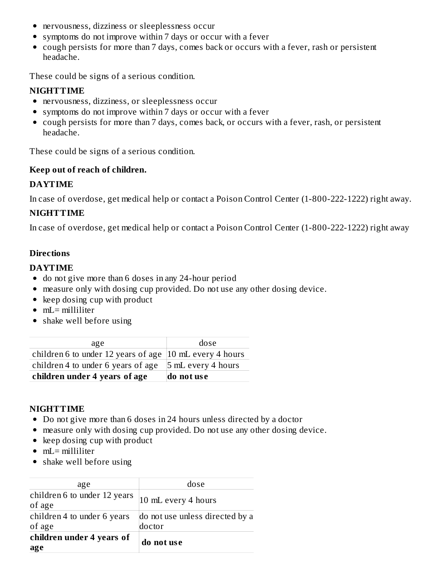- nervousness, dizziness or sleeplessness occur
- symptoms do not improve within 7 days or occur with a fever
- cough persists for more than 7 days, comes back or occurs with a fever, rash or persistent headache.

These could be signs of a serious condition.

# **NIGHTTIME**

- nervousness, dizziness, or sleeplessness occur
- symptoms do not improve within 7 days or occur with a fever
- cough persists for more than 7 days, comes back, or occurs with a fever, rash, or persistent headache.

These could be signs of a serious condition.

# **Keep out of reach of children.**

### **DAYTIME**

In case of overdose, get medical help or contact a Poison Control Center (1-800-222-1222) right away.

# **NIGHTTIME**

In case of overdose, get medical help or contact a Poison Control Center (1-800-222-1222) right away

# **Directions**

### **DAYTIME**

- do not give more than 6 doses in any 24-hour period
- measure only with dosing cup provided. Do not use any other dosing device.
- keep dosing cup with product
- $\bullet$  mL= milliliter
- shake well before using

| age                                                                | dose               |
|--------------------------------------------------------------------|--------------------|
| children 6 to under 12 years of age $ 10 \text{ mL}$ every 4 hours |                    |
| children 4 to under 6 years of age                                 | 5 mL every 4 hours |
| children under 4 years of age                                      | do not use         |

### **NIGHTTIME**

- Do not give more than 6 doses in 24 hours unless directed by a doctor
- measure only with dosing cup provided. Do not use any other dosing device.
- keep dosing cup with product
- mL= milliliter
- shake well before using

| do not use                      |  |
|---------------------------------|--|
|                                 |  |
| do not use unless directed by a |  |
| 10 mL every 4 hours             |  |
| dose                            |  |
|                                 |  |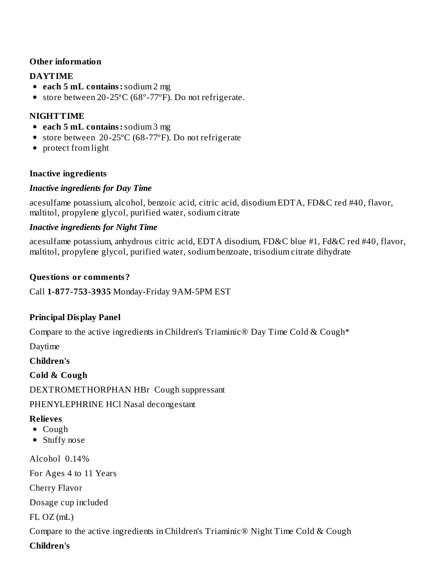### **Other information**

### **DAYTIME**

- **each 5 mL contains:**sodium 2 mg
- store between 20-25ºC (68º-77ºF). Do not refrigerate.

# **NIGHTTIME**

- **each 5 mL contains:**sodium 3 mg
- store between 20-25ºC (68-77ºF). Do not refrigerate
- protect from light

### **Inactive ingredients**

### *Inactive ingredients for Day Time*

acesulfame potassium, alcohol, benzoic acid, citric acid, disodium EDTA, FD&C red #40, flavor, maltitol, propylene glycol, purified water, sodium citrate

# *Inactive ingredients for Night Time*

acesulfame potassium, anhydrous citric acid, EDTA disodium, FD&C blue #1, Fd&C red #40, flavor, maltitol, propylene glycol, purified water, sodium benzoate, trisodium citrate dihydrate

### **Questions or comments?**

Call **1-877-753-3935** Monday-Friday 9AM-5PM EST

# **Principal Display Panel**

Compare to the active ingredients in Children's Triaminic<sup>®</sup> Day Time Cold & Cough<sup>\*</sup>

Daytime

**Children's**

**Cold & Cough** DEXTROMETHORPHAN HBr Cough suppressant

# PHENYLEPHRINE HCl Nasal decongestant

# **Relieves**

- Cough
- Stuffy nose

Alcohol 0.14% For Ages 4 to 11 Years Cherry Flavor Dosage cup included FL OZ (mL) Compare to the active ingredients in Children's Triaminic® Night Time Cold & Cough

**Children's**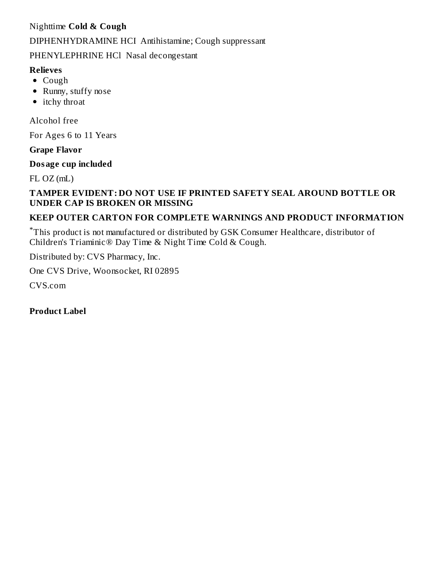# Nighttime **Cold & Cough**

#### DIPHENHYDRAMINE HCI Antihistamine; Cough suppressant

PHENYLEPHRINE HCl Nasal decongestant

#### **Relieves**

- Cough
- Runny, stuffy nose
- $\bullet$  itchy throat

Alcohol free

For Ages 6 to 11 Years

#### **Grape Flavor**

#### **Dosage cup included**

 $FL OZ (mL)$ 

### **TAMPER EVIDENT: DO NOT USE IF PRINTED SAFETY SEAL AROUND BOTTLE OR UNDER CAP IS BROKEN OR MISSING**

### **KEEP OUTER CARTON FOR COMPLETE WARNINGS AND PRODUCT INFORMATION**

This product is not manufactured or distributed by GSK Consumer Healthcare, distributor of \*Children's Triaminic® Day Time & Night Time Cold & Cough.

Distributed by: CVS Pharmacy, Inc.

One CVS Drive, Woonsocket, RI 02895

CVS.com

**Product Label**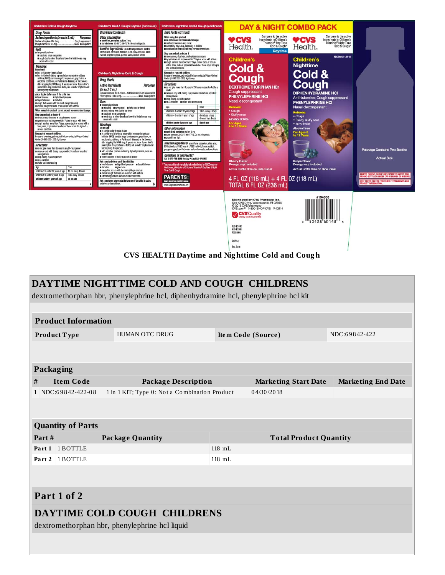

**CVS HEALTH Daytime and Nig httime Cold and Coug h**

Lot No.: Exp. Date:

| DAYTIME NIGHTTIME COLD AND COUGH CHILDRENS                                          |                                               |          |                               |                           |
|-------------------------------------------------------------------------------------|-----------------------------------------------|----------|-------------------------------|---------------------------|
| dextromethorphan hbr, phenylephrine hcl, diphenhydramine hcl, phenylephrine hcl kit |                                               |          |                               |                           |
|                                                                                     |                                               |          |                               |                           |
| <b>Product Information</b>                                                          |                                               |          |                               |                           |
| Product Type                                                                        | <b>HUMAN OTC DRUG</b>                         |          | Item Code (Source)            | NDC:69842-422             |
|                                                                                     |                                               |          |                               |                           |
|                                                                                     |                                               |          |                               |                           |
| <b>Packaging</b>                                                                    |                                               |          |                               |                           |
| <b>Item Code</b><br>#                                                               | <b>Package Description</b>                    |          | <b>Marketing Start Date</b>   | <b>Marketing End Date</b> |
| 1 NDC:69842-422-08                                                                  | 1 in 1 KIT; Type 0: Not a Combination Product |          | 04/30/2018                    |                           |
|                                                                                     |                                               |          |                               |                           |
| <b>Quantity of Parts</b>                                                            |                                               |          |                               |                           |
| Part#                                                                               | <b>Package Quantity</b>                       |          | <b>Total Product Quantity</b> |                           |
| Part 1<br>1 BOTTLE                                                                  |                                               | $118$ mL |                               |                           |
| Part 2 1 BOTTLE                                                                     |                                               | $118$ mL |                               |                           |
|                                                                                     |                                               |          |                               |                           |
| Part 1 of 2                                                                         |                                               |          |                               |                           |
| DAYTIME COLD COUGH CHILDRENS<br>dextromethorphan hbr, phenylephrine hcl liquid      |                                               |          |                               |                           |
|                                                                                     |                                               |          |                               |                           |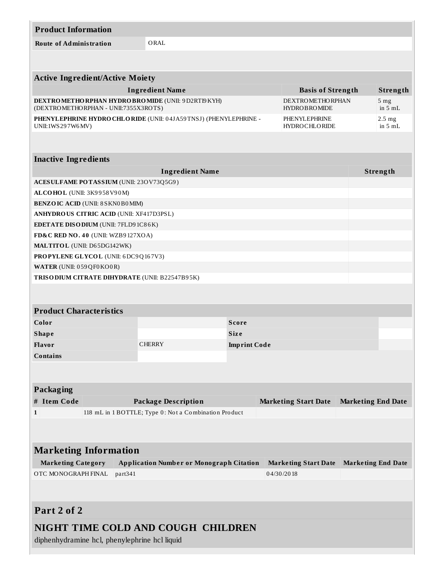| <b>Product Information</b>                                                                                                                 |                                                       |                     |                           |                                       |  |                     |
|--------------------------------------------------------------------------------------------------------------------------------------------|-------------------------------------------------------|---------------------|---------------------------|---------------------------------------|--|---------------------|
| <b>Route of Administration</b>                                                                                                             | ORAL                                                  |                     |                           |                                       |  |                     |
|                                                                                                                                            |                                                       |                     |                           |                                       |  |                     |
|                                                                                                                                            |                                                       |                     |                           |                                       |  |                     |
| <b>Active Ingredient/Active Moiety</b>                                                                                                     |                                                       |                     |                           |                                       |  |                     |
|                                                                                                                                            | <b>Ingredient Name</b>                                |                     |                           | <b>Basis of Strength</b>              |  | Strength            |
| DEXTROMETHORPHAN HYDROBROMIDE (UNII: 9D2RTI9KYH)<br><b>DEXTROMETHORPHAN</b><br>(DEXTROMETHORPHAN - UNII:7355X3ROTS)<br><b>HYDROBROMIDE</b> |                                                       |                     |                           | 5 <sub>mg</sub><br>in $5mL$           |  |                     |
| PHENYLEPHRINE HYDROCHLORIDE (UNII: 04JA59TNSJ) (PHENYLEPHRINE -<br>UNII:1WS297W6MV)                                                        |                                                       |                     |                           | PHENYLEPHRINE<br><b>HYDROCHLORIDE</b> |  | $2.5$ mg<br>in 5 mL |
|                                                                                                                                            |                                                       |                     |                           |                                       |  |                     |
| <b>Inactive Ingredients</b>                                                                                                                |                                                       |                     |                           |                                       |  |                     |
|                                                                                                                                            | <b>Ingredient Name</b>                                |                     |                           |                                       |  | Strength            |
| ACESULFAME POTASSIUM (UNII: 230V73Q5G9)                                                                                                    |                                                       |                     |                           |                                       |  |                     |
| ALCOHOL (UNII: 3K9958V90M)                                                                                                                 |                                                       |                     |                           |                                       |  |                     |
| <b>BENZOIC ACID (UNII: 8 SKN0B0MIM)</b>                                                                                                    |                                                       |                     |                           |                                       |  |                     |
| <b>ANHYDROUS CITRIC ACID (UNII: XF417D3PSL)</b>                                                                                            |                                                       |                     |                           |                                       |  |                     |
| <b>EDETATE DISODIUM</b> (UNII: 7FLD9 1C86K)                                                                                                |                                                       |                     |                           |                                       |  |                     |
| FD&C RED NO. 40 (UNII: WZB9127XOA)                                                                                                         |                                                       |                     |                           |                                       |  |                     |
| <b>MALTITOL</b> (UNII: D65DG142WK)                                                                                                         |                                                       |                     |                           |                                       |  |                     |
| <b>PROPYLENE GLYCOL</b> (UNII: 6DC9Q167V3)                                                                                                 |                                                       |                     |                           |                                       |  |                     |
| WATER (UNII: 059QF0KO0R)                                                                                                                   |                                                       |                     |                           |                                       |  |                     |
| TRISO DIUM CITRATE DIHYDRATE (UNII: B22547B95K)                                                                                            |                                                       |                     |                           |                                       |  |                     |
|                                                                                                                                            |                                                       |                     |                           |                                       |  |                     |
| <b>Product Characteristics</b>                                                                                                             |                                                       |                     |                           |                                       |  |                     |
| Color                                                                                                                                      |                                                       | <b>Score</b>        |                           |                                       |  |                     |
| <b>Shape</b>                                                                                                                               |                                                       | <b>Size</b>         |                           |                                       |  |                     |
| <b>Flavor</b>                                                                                                                              | <b>CHERRY</b>                                         | <b>Imprint Code</b> |                           |                                       |  |                     |
| <b>Contains</b>                                                                                                                            |                                                       |                     |                           |                                       |  |                     |
|                                                                                                                                            |                                                       |                     |                           |                                       |  |                     |
|                                                                                                                                            |                                                       |                     |                           |                                       |  |                     |
| <b>Packaging</b>                                                                                                                           |                                                       |                     |                           |                                       |  |                     |
| # Item Code<br><b>Package Description</b><br><b>Marketing Start Date</b>                                                                   |                                                       |                     | <b>Marketing End Date</b> |                                       |  |                     |
| $\mathbf{1}$                                                                                                                               | 118 mL in 1 BOTTLE; Type 0: Not a Combination Product |                     |                           |                                       |  |                     |
|                                                                                                                                            |                                                       |                     |                           |                                       |  |                     |
|                                                                                                                                            |                                                       |                     |                           |                                       |  |                     |
| <b>Marketing Information</b>                                                                                                               |                                                       |                     |                           |                                       |  |                     |
| <b>Marketing Category</b><br><b>Application Number or Monograph Citation</b><br><b>Marketing Start Date</b><br><b>Marketing End Date</b>   |                                                       |                     |                           |                                       |  |                     |
| OTC MONOGRAPH FINAL<br>part341<br>04/30/2018                                                                                               |                                                       |                     |                           |                                       |  |                     |
|                                                                                                                                            |                                                       |                     |                           |                                       |  |                     |
|                                                                                                                                            |                                                       |                     |                           |                                       |  |                     |
| Part 2 of 2                                                                                                                                |                                                       |                     |                           |                                       |  |                     |

# **NIGHT TIME COLD AND COUGH CHILDREN**

diphenhydramine hcl, phenylephrine hcl liquid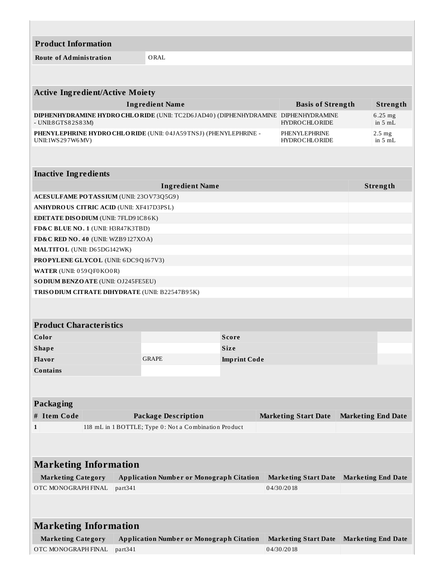**Product Information**

**Route of Administration** ORAL

| <b>Active Ingredient/Active Moiety</b>                                                             |                                                |                                       |  |  |  |
|----------------------------------------------------------------------------------------------------|------------------------------------------------|---------------------------------------|--|--|--|
| <b>Ingredient Name</b>                                                                             | <b>Basis of Strength</b>                       | Strength                              |  |  |  |
| <b>DIPHENHYDRAMINE HYDRO CHLO RIDE (UNII: TC2D6JAD40) (DIPHENHYDRAMINE</b><br>$-$ UNII:8GTS82S83M) | <b>DIPHENHYDRAMINE</b><br><b>HYDROCHLORIDE</b> | $6.25$ mg<br>in $5mL$                 |  |  |  |
| PHENYLEPHRINE HYDRO CHLO RIDE (UNII: 04JA59TNSJ) (PHENYLEPHRINE -<br>UNII:1WS297W6MV)              | PHENYLEPHRINE<br><b>HYDROCHLORIDE</b>          | $2.5 \text{ mg}$<br>in $5 \text{ mL}$ |  |  |  |
|                                                                                                    |                                                |                                       |  |  |  |
| <b>Inactive Ingredients</b>                                                                        |                                                |                                       |  |  |  |
| <b>Ingredient Name</b>                                                                             |                                                | Strength                              |  |  |  |
| ACESULFAME POTASSIUM (UNII: 23OV73Q5G9)                                                            |                                                |                                       |  |  |  |
| ANIIVDDO US CITDIC ACID (UNII) VE417D2DSL)                                                         |                                                |                                       |  |  |  |

| <b>ANHYDROUS CITRIC ACID (UNII: XF417D3PSL)</b>        |  |
|--------------------------------------------------------|--|
| <b>EDETATE DISODIUM (UNII: 7FLD91C86K)</b>             |  |
| <b>FD&amp;C BLUE NO. 1 (UNII: H3R47K3TBD)</b>          |  |
| FD&C RED NO. 40 (UNII: WZB9 $127XOA$ )                 |  |
| <b>MALTITOL</b> (UNII: D65DG142WK)                     |  |
| <b>PROPYLENE GLYCOL</b> (UNII: 6DC9Q167V3)             |  |
| <b>WATER (UNII: 059 QF0 KO0 R)</b>                     |  |
| <b>SODIUM BENZOATE</b> (UNII: OJ245FE5EU)              |  |
| <b>TRISO DIUM CITRATE DIHYDRATE (UNII: B22547B95K)</b> |  |

| <b>Product Characteristics</b> |              |                     |  |  |
|--------------------------------|--------------|---------------------|--|--|
| Color                          |              | <b>Score</b>        |  |  |
| <b>Shape</b>                   |              | <b>Size</b>         |  |  |
| <b>Flavor</b>                  | <b>GRAPE</b> | <b>Imprint Code</b> |  |  |
| <b>Contains</b>                |              |                     |  |  |

| <b>Packaging</b>             |                                                                                        |                                                       |                             |                           |  |
|------------------------------|----------------------------------------------------------------------------------------|-------------------------------------------------------|-----------------------------|---------------------------|--|
| <b>Item Code</b><br>#        | <b>Marketing End Date</b><br><b>Package Description</b><br><b>Marketing Start Date</b> |                                                       |                             |                           |  |
| $\mathbf{1}$                 |                                                                                        | 118 mL in 1 BOTTLE; Type 0: Not a Combination Product |                             |                           |  |
|                              |                                                                                        |                                                       |                             |                           |  |
|                              |                                                                                        |                                                       |                             |                           |  |
| <b>Marketing Information</b> |                                                                                        |                                                       |                             |                           |  |
| <b>Marketing Category</b>    |                                                                                        | <b>Application Number or Monograph Citation</b>       | <b>Marketing Start Date</b> | <b>Marketing End Date</b> |  |
| OTC MONOGRAPH FINAL          |                                                                                        | part <sub>341</sub>                                   | 04/30/2018                  |                           |  |
|                              |                                                                                        |                                                       |                             |                           |  |
|                              |                                                                                        |                                                       |                             |                           |  |
| <b>Marketing Information</b> |                                                                                        |                                                       |                             |                           |  |
| <b>Marketing Category</b>    |                                                                                        | <b>Application Number or Monograph Citation</b>       | <b>Marketing Start Date</b> | <b>Marketing End Date</b> |  |
| OTC MONOGRAPH FINAL          |                                                                                        | part <sub>341</sub>                                   | 04/30/2018                  |                           |  |